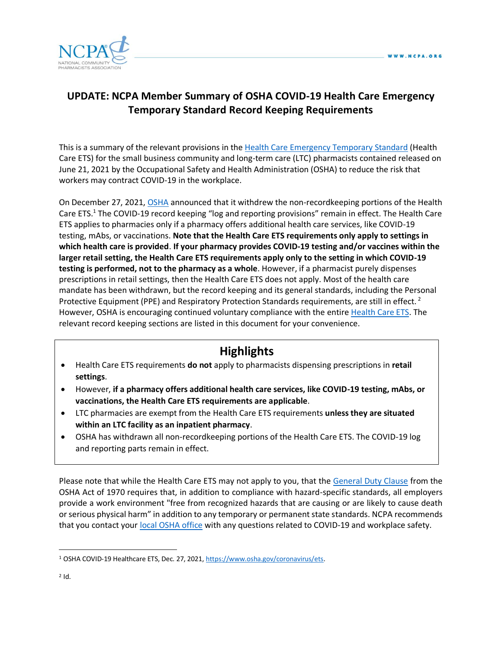

## **UPDATE: NCPA Member Summary of OSHA COVID-19 Health Care Emergency Temporary Standard Record Keeping Requirements**

This is a summary of the relevant provisions in the **Health Care Emergency Temporary Standard** (Health Care ETS) for the small business community and long-term care (LTC) pharmacists contained released on June 21, 2021 by the Occupational Safety and Health Administration (OSHA) to reduce the risk that workers may contract COVID-19 in the workplace.

On December 27, 2021, [OSHA](https://www.osha.gov/coronavirus/ets) announced that it withdrew the non-recordkeeping portions of the Health Care ETS.<sup>1</sup> The COVID-19 record keeping "log and reporting provisions" remain in effect. The Health Care ETS applies to pharmacies only if a pharmacy offers additional health care services, like COVID-19 testing, mAbs, or vaccinations. **Note that the Health Care ETS requirements only apply to settings in which health care is provided**. **If your pharmacy provides COVID-19 testing and/or vaccines within the larger retail setting, the Health Care ETS requirements apply only to the setting in which COVID-19 testing is performed, not to the pharmacy as a whole**. However, if a pharmacist purely dispenses prescriptions in retail settings, then the Health Care ETS does not apply. Most of the health care mandate has been withdrawn, but the record keeping and its general standards, including the Personal Protective Equipment (PPE) and Respiratory Protection Standards requirements, are still in effect.<sup>2</sup> However, OSHA is encouraging continued voluntary compliance with the entire [Health Care ETS.](https://www.osha.gov/sites/default/files/publications/OSHA4123.pdf) The relevant record keeping sections are listed in this document for your convenience.

# **Highlights**

- Health Care ETS requirements **do not** apply to pharmacists dispensing prescriptions in **retail settings**.
- However, **if a pharmacy offers additional health care services, like COVID-19 testing, mAbs, or vaccinations, the Health Care ETS requirements are applicable**.
- LTC pharmacies are exempt from the Health Care ETS requirements **unless they are situated within an LTC facility as an inpatient pharmacy**.
- OSHA has withdrawn all non-recordkeeping portions of the Health Care ETS. The COVID-19 log and reporting parts remain in effect.

Please note that while the Health Care ETS may not apply to you, that the [General Duty Clause](https://www.osha.gov/laws-regs/oshact/section5-duties) from the OSHA Act of 1970 requires that, in addition to compliance with hazard-specific standards, all employers provide a work environment "free from recognized hazards that are causing or are likely to cause death or serious physical harm" in addition to any temporary or permanent state standards. NCPA recommends that you contact your [local OSHA office](https://www.osha.gov/contactus/bystate) with any questions related to COVID-19 and workplace safety.

<sup>1</sup> OSHA COVID-19 Healthcare ETS, Dec. 27, 2021, [https://www.osha.gov/coronavirus/ets.](https://www.osha.gov/coronavirus/ets)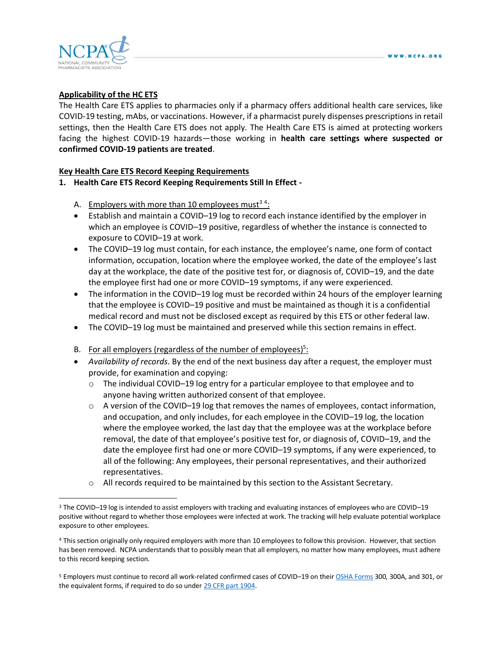

#### **Applicability of the HC ETS**

The Health Care ETS applies to pharmacies only if a pharmacy offers additional health care services, like COVID-19 testing, mAbs, or vaccinations. However, if a pharmacist purely dispenses prescriptions in retail settings, then the Health Care ETS does not apply. The Health Care ETS is aimed at protecting workers facing the highest COVID-19 hazards—those working in **health care settings where suspected or confirmed COVID-19 patients are treated**.

#### **Key Health Care ETS Record Keeping Requirements**

#### **1. Health Care ETS Record Keeping Requirements Still In Effect -**

- A. Employers with more than 10 employees must<sup>34</sup>:
- Establish and maintain a COVID–19 log to record each instance identified by the employer in which an employee is COVID–19 positive, regardless of whether the instance is connected to exposure to COVID–19 at work.
- The COVID–19 log must contain, for each instance, the employee's name, one form of contact information, occupation, location where the employee worked, the date of the employee's last day at the workplace, the date of the positive test for, or diagnosis of, COVID–19, and the date the employee first had one or more COVID–19 symptoms, if any were experienced.
- The information in the COVID–19 log must be recorded within 24 hours of the employer learning that the employee is COVID–19 positive and must be maintained as though it is a confidential medical record and must not be disclosed except as required by this ETS or other federal law.
- The COVID–19 log must be maintained and preserved while this section remains in effect.
- B. For all employers (regardless of the number of employees)<sup>5</sup>:
- *Availability of records*. By the end of the next business day after a request, the employer must provide, for examination and copying:
	- $\circ$  The individual COVID–19 log entry for a particular employee to that employee and to anyone having written authorized consent of that employee.
	- o A version of the COVID–19 log that removes the names of employees, contact information, and occupation, and only includes, for each employee in the COVID–19 log, the location where the employee worked, the last day that the employee was at the workplace before removal, the date of that employee's positive test for, or diagnosis of, COVID–19, and the date the employee first had one or more COVID–19 symptoms, if any were experienced, to all of the following: Any employees, their personal representatives, and their authorized representatives.
	- o All records required to be maintained by this section to the Assistant Secretary.

<sup>3</sup> The COVID–19 log is intended to assist employers with tracking and evaluating instances of employees who are COVID–19 positive without regard to whether those employees were infected at work. The tracking will help evaluate potential workplace exposure to other employees.

<sup>4</sup> This section originally only required employers with more than 10 employees to follow this provision. However, that section has been removed. NCPA understands that to possibly mean that all employers, no matter how many employees, must adhere to this record keeping section.

<sup>5</sup> Employers must continue to record all work-related confirmed cases of COVID–19 on thei[r OSHA Forms](https://www.osha.gov/injuryreporting/ita/) 300, 300A, and 301, or the equivalent forms, if required to do so unde[r 29 CFR part 1904.](https://www.osha.gov/laws-regs/regulations/standardnumber/1904)